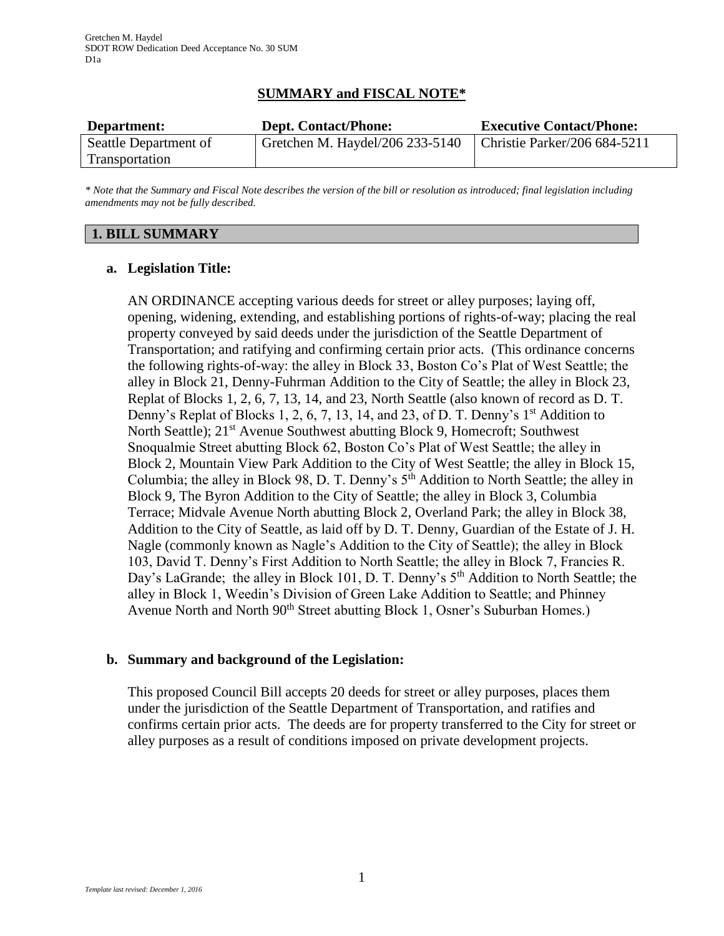# **SUMMARY and FISCAL NOTE\***

| Department:           | <b>Dept. Contact/Phone:</b>     | <b>Executive Contact/Phone:</b> |
|-----------------------|---------------------------------|---------------------------------|
| Seattle Department of | Gretchen M. Haydel/206 233-5140 | Christie Parker/206 684-5211    |
| Transportation        |                                 |                                 |

*\* Note that the Summary and Fiscal Note describes the version of the bill or resolution as introduced; final legislation including amendments may not be fully described.*

## **1. BILL SUMMARY**

### **a. Legislation Title:**

AN ORDINANCE accepting various deeds for street or alley purposes; laying off, opening, widening, extending, and establishing portions of rights-of-way; placing the real property conveyed by said deeds under the jurisdiction of the Seattle Department of Transportation; and ratifying and confirming certain prior acts. (This ordinance concerns the following rights-of-way: the alley in Block 33, Boston Co's Plat of West Seattle; the alley in Block 21, Denny-Fuhrman Addition to the City of Seattle; the alley in Block 23, Replat of Blocks 1, 2, 6, 7, 13, 14, and 23, North Seattle (also known of record as D. T. Denny's Replat of Blocks 1, 2, 6, 7, 13, 14, and 23, of D. T. Denny's 1<sup>st</sup> Addition to North Seattle); 21<sup>st</sup> Avenue Southwest abutting Block 9, Homecroft; Southwest Snoqualmie Street abutting Block 62, Boston Co's Plat of West Seattle; the alley in Block 2, Mountain View Park Addition to the City of West Seattle; the alley in Block 15, Columbia; the alley in Block 98, D. T. Denny's  $5<sup>th</sup>$  Addition to North Seattle; the alley in Block 9, The Byron Addition to the City of Seattle; the alley in Block 3, Columbia Terrace; Midvale Avenue North abutting Block 2, Overland Park; the alley in Block 38, Addition to the City of Seattle, as laid off by D. T. Denny, Guardian of the Estate of J. H. Nagle (commonly known as Nagle's Addition to the City of Seattle); the alley in Block 103, David T. Denny's First Addition to North Seattle; the alley in Block 7, Francies R. Day's LaGrande; the alley in Block 101, D. T. Denny's 5<sup>th</sup> Addition to North Seattle; the alley in Block 1, Weedin's Division of Green Lake Addition to Seattle; and Phinney Avenue North and North 90<sup>th</sup> Street abutting Block 1, Osner's Suburban Homes.)

# **b. Summary and background of the Legislation:**

This proposed Council Bill accepts 20 deeds for street or alley purposes, places them under the jurisdiction of the Seattle Department of Transportation, and ratifies and confirms certain prior acts. The deeds are for property transferred to the City for street or alley purposes as a result of conditions imposed on private development projects.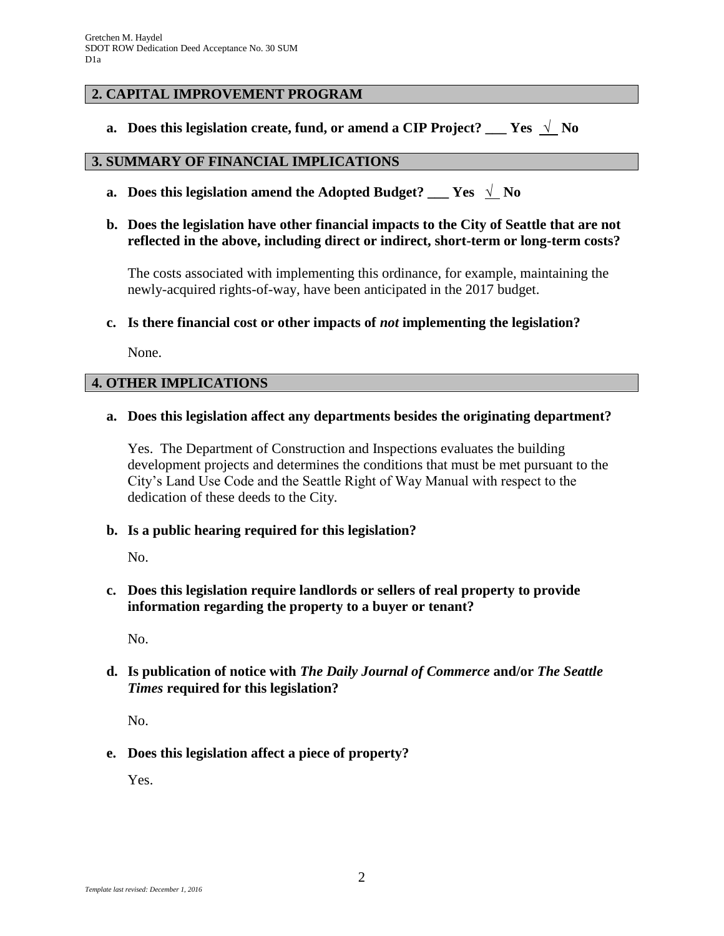# **2. CAPITAL IMPROVEMENT PROGRAM**

**a.** Does this legislation create, fund, or amend a CIP Project? \_\_\_ Yes  $\sqrt{\ }$  No

#### **3. SUMMARY OF FINANCIAL IMPLICATIONS**

- **a.** Does this legislation amend the Adopted Budget? \_\_\_ Yes  $\sqrt{\ }$  No
- **b. Does the legislation have other financial impacts to the City of Seattle that are not reflected in the above, including direct or indirect, short-term or long-term costs?**

The costs associated with implementing this ordinance, for example, maintaining the newly-acquired rights-of-way, have been anticipated in the 2017 budget.

### **c. Is there financial cost or other impacts of** *not* **implementing the legislation?**

None.

### **4. OTHER IMPLICATIONS**

### **a. Does this legislation affect any departments besides the originating department?**

Yes. The Department of Construction and Inspections evaluates the building development projects and determines the conditions that must be met pursuant to the City's Land Use Code and the Seattle Right of Way Manual with respect to the dedication of these deeds to the City.

#### **b. Is a public hearing required for this legislation?**

No.

**c. Does this legislation require landlords or sellers of real property to provide information regarding the property to a buyer or tenant?**

No.

# **d. Is publication of notice with** *The Daily Journal of Commerce* **and/or** *The Seattle Times* **required for this legislation?**

No.

**e. Does this legislation affect a piece of property?**

Yes.